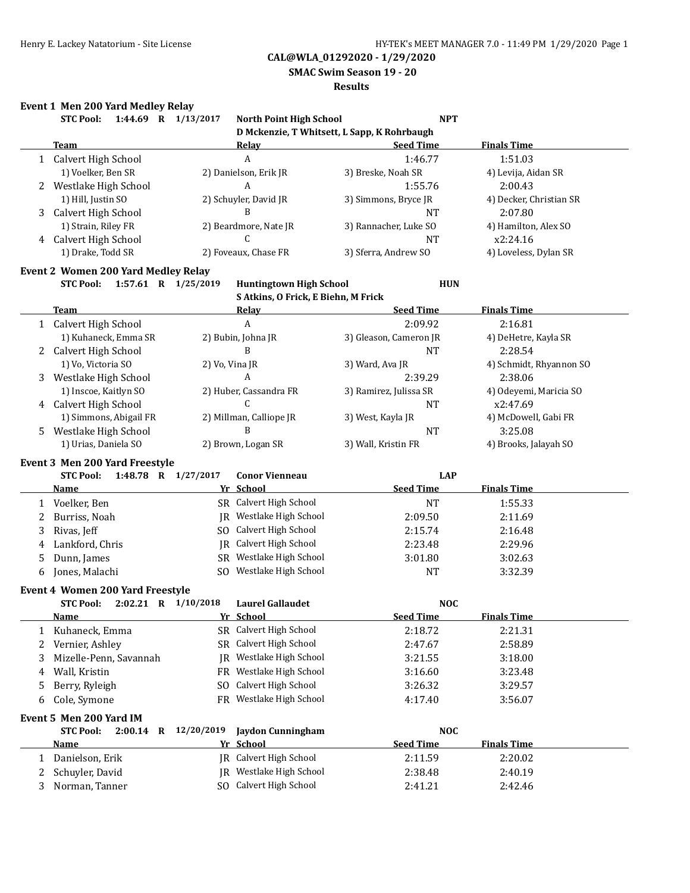**SMAC Swim Season 19 - 20**

#### **Results**

### **Event 1 Men 200 Yard Medley Relay**

|    | <b>STC Pool:</b>                           | 1:44.69 R 1/13/2017<br>North Point High School        | <b>NPT</b>                                  |                         |
|----|--------------------------------------------|-------------------------------------------------------|---------------------------------------------|-------------------------|
|    |                                            |                                                       | D Mckenzie, T Whitsett, L Sapp, K Rohrbaugh |                         |
|    | <b>Team</b>                                | <b>Relay</b>                                          | <b>Seed Time</b>                            | <b>Finals Time</b>      |
|    | 1 Calvert High School                      | $\boldsymbol{A}$                                      | 1:46.77                                     | 1:51.03                 |
|    | 1) Voelker, Ben SR                         | 2) Danielson, Erik JR                                 | 3) Breske, Noah SR                          | 4) Levija, Aidan SR     |
| 2  | Westlake High School                       | A                                                     | 1:55.76                                     | 2:00.43                 |
|    | 1) Hill, Justin SO                         | 2) Schuyler, David JR                                 | 3) Simmons, Bryce JR                        | 4) Decker, Christian SR |
| 3  | Calvert High School                        | B                                                     | <b>NT</b>                                   | 2:07.80                 |
|    | 1) Strain, Riley FR                        | 2) Beardmore, Nate JR                                 | 3) Rannacher, Luke SO                       | 4) Hamilton, Alex SO    |
|    | 4 Calvert High School                      | C                                                     | <b>NT</b>                                   | x2:24.16                |
|    | 1) Drake, Todd SR                          | 2) Foveaux, Chase FR                                  | 3) Sferra, Andrew SO                        | 4) Loveless, Dylan SR   |
|    | <b>Event 2 Women 200 Yard Medley Relay</b> |                                                       |                                             |                         |
|    | <b>STC Pool:</b>                           | 1:57.61 R 1/25/2019<br><b>Huntingtown High School</b> | <b>HUN</b>                                  |                         |
|    |                                            | S Atkins, O Frick, E Biehn, M Frick                   |                                             |                         |
|    | <b>Team</b>                                | <u>Relav</u>                                          | <b>Seed Time</b>                            | <b>Finals Time</b>      |
|    | 1 Calvert High School                      | A                                                     | 2:09.92                                     | 2:16.81                 |
|    | 1) Kuhaneck, Emma SR                       | 2) Bubin, Johna JR                                    | 3) Gleason, Cameron JR                      | 4) DeHetre, Kayla SR    |
|    | 2 Calvert High School                      | B                                                     | <b>NT</b>                                   | 2:28.54                 |
|    | 1) Vo, Victoria SO                         | 2) Vo, Vina JR                                        | 3) Ward, Ava JR                             | 4) Schmidt, Rhyannon SO |
| 3  | Westlake High School                       | A                                                     | 2:39.29                                     | 2:38.06                 |
|    | 1) Inscoe, Kaitlyn SO                      | 2) Huber, Cassandra FR                                | 3) Ramirez, Julissa SR                      | 4) Odeyemi, Maricia SO  |
| 4  | Calvert High School                        | C                                                     | NT                                          | x2:47.69                |
|    | 1) Simmons, Abigail FR                     | 2) Millman, Calliope JR                               | 3) West, Kayla JR                           | 4) McDowell, Gabi FR    |
| 5. | Westlake High School                       | B                                                     | <b>NT</b>                                   | 3:25.08                 |
|    | 1) Urias, Daniela SO                       | 2) Brown, Logan SR                                    | 3) Wall, Kristin FR                         | 4) Brooks, Jalayah SO   |
|    | Event 3 Men 200 Yard Freestyle             |                                                       |                                             |                         |
|    | <b>STC Pool:</b>                           | 1:48.78 R 1/27/2017<br><b>Conor Vienneau</b>          | <b>LAP</b>                                  |                         |
|    | <b>Name</b>                                | Yr School                                             | <b>Seed Time</b>                            | <b>Finals Time</b>      |
|    | 1 Voelker, Ben                             | SR Calvert High School                                | <b>NT</b>                                   | 1:55.33                 |
| 2  | Burriss, Noah                              | JR Westlake High School                               | 2:09.50                                     | 2:11.69                 |
|    | Rivas, Jeff                                | SO Calvert High School                                | 2:15.74                                     |                         |
| 3  |                                            | JR Calvert High School                                |                                             | 2:16.48                 |
| 4  | Lankford, Chris                            |                                                       | 2:23.48                                     | 2:29.96                 |
| 5  | Dunn, James                                | SR Westlake High School                               | 3:01.80                                     | 3:02.63                 |
| 6  | Jones, Malachi                             | SO Westlake High School                               | <b>NT</b>                                   | 3:32.39                 |
|    | Event 4 Women 200 Yard Freestyle           |                                                       |                                             |                         |
|    | <b>STC Pool:</b>                           | 2:02.21 R 1/10/2018<br><b>Laurel Gallaudet</b>        | <b>NOC</b>                                  |                         |
|    | Name                                       | Yr School                                             | Seed Time                                   | <b>Finals Time</b>      |
| 1  | Kuhaneck, Emma                             | SR Calvert High School                                | 2:18.72                                     | 2:21.31                 |
| 2  | Vernier, Ashley                            | Calvert High School<br>SR                             | 2:47.67                                     | 2:58.89                 |
| 3  | Mizelle-Penn, Savannah                     | Westlake High School<br>IR                            | 3:21.55                                     | 3:18.00                 |
| 4  | Wall, Kristin                              | Westlake High School<br>FR                            | 3:16.60                                     | 3:23.48                 |
| 5  | Berry, Ryleigh                             | Calvert High School<br>SO.                            | 3:26.32                                     | 3:29.57                 |
| 6  | Cole, Symone                               | Westlake High School<br>FR.                           | 4:17.40                                     | 3:56.07                 |
|    | Event 5 Men 200 Yard IM                    |                                                       |                                             |                         |
|    | <b>STC Pool:</b><br>$2:00.14$ R            | 12/20/2019<br>Jaydon Cunningham                       | <b>NOC</b>                                  |                         |
|    | <b>Name</b>                                | Yr School                                             | <b>Seed Time</b>                            | <b>Finals Time</b>      |
| 1  | Danielson, Erik                            | Calvert High School<br>IR                             | 2:11.59                                     | 2:20.02                 |
| 2  | Schuyler, David                            | JR Westlake High School                               | 2:38.48                                     | 2:40.19                 |
| 3  | Norman, Tanner                             | SO Calvert High School                                | 2:41.21                                     | 2:42.46                 |
|    |                                            |                                                       |                                             |                         |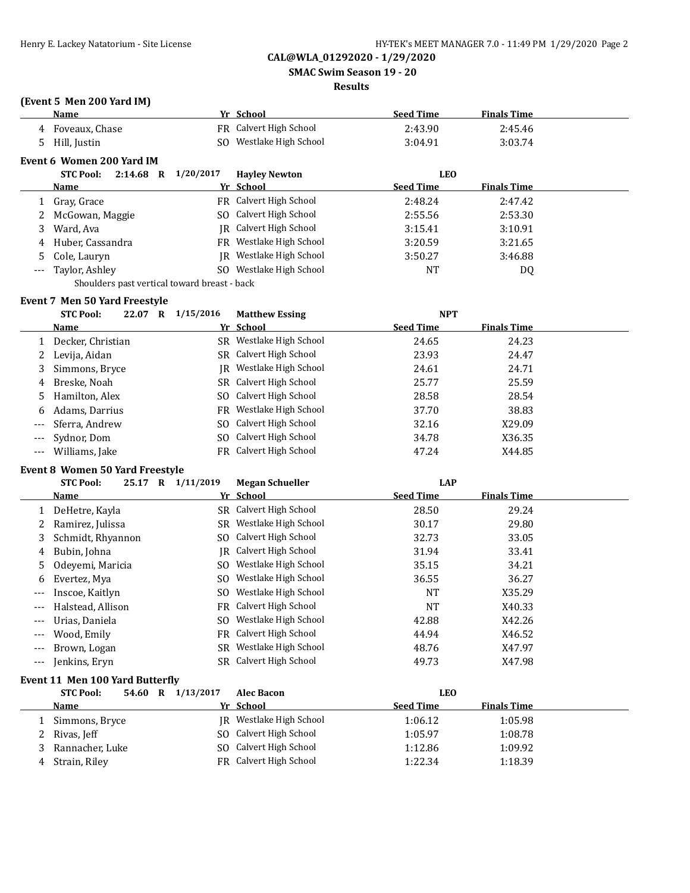**SMAC Swim Season 19 - 20**

#### **Results**

## **(Event 5 Men 200 Yard IM)**

|         | Name                                         |           | Yr School              | <b>Seed Time</b> | <b>Finals Time</b> |  |
|---------|----------------------------------------------|-----------|------------------------|------------------|--------------------|--|
| 4       | Foveaux, Chase                               |           | FR Calvert High School | 2:43.90          | 2:45.46            |  |
| 5       | Hill, Justin                                 | SO.       | Westlake High School   | 3:04.91          | 3:03.74            |  |
|         | Event 6 Women 200 Yard IM                    |           |                        |                  |                    |  |
|         | <b>STC Pool:</b><br>2:14.68<br>$\bf{R}$      | 1/20/2017 | <b>Hayley Newton</b>   | <b>LEO</b>       |                    |  |
|         | Name                                         |           | Yr School              | <b>Seed Time</b> | <b>Finals Time</b> |  |
| 1       | Gray, Grace                                  |           | FR Calvert High School | 2:48.24          | 2:47.42            |  |
|         | McGowan, Maggie                              | SO.       | Calvert High School    | 2:55.56          | 2:53.30            |  |
| 3       | Ward, Ava                                    | IR        | Calvert High School    | 3:15.41          | 3:10.91            |  |
| 4       | Huber, Cassandra                             | FR        | Westlake High School   | 3:20.59          | 3:21.65            |  |
| 5.      | Cole, Lauryn                                 | IR        | Westlake High School   | 3:50.27          | 3:46.88            |  |
| $- - -$ | Taylor, Ashley                               | SO.       | Westlake High School   | <b>NT</b>        | DQ                 |  |
|         | Shoulders past vertical toward breast - back |           |                        |                  |                    |  |
|         | <b>Event 7 Men 50 Yard Freestyle</b>         |           |                        |                  |                    |  |
|         | <b>STC Pool:</b><br>22.07<br>R               | 1/15/2016 | <b>Matthew Essing</b>  | <b>NPT</b>       |                    |  |
|         | Name                                         |           | Yr School              | <b>Seed Time</b> | <b>Finals Time</b> |  |
|         | Decker, Christian                            | SR.       | Westlake High School   | 24.65            | 24.23              |  |
|         | Levija, Aidan                                | SR -      | Calvert High School    | 23.93            | 24.47              |  |
|         | Simmone Rryco                                | IR        | Westlake High School   | 24. G1           | 24.71              |  |

| 3 Simmons, Bryce   | IR Westlake High School | 24.61 | 24.71  |
|--------------------|-------------------------|-------|--------|
| 4 Breske, Noah     | SR Calvert High School  | 25.77 | 25.59  |
| 5 Hamilton, Alex   | SO Calvert High School  | 28.58 | 28.54  |
| 6 Adams, Darrius   | FR Westlake High School | 37.70 | 38.83  |
| --- Sferra, Andrew | SO Calvert High School  | 32.16 | X29.09 |
| --- Sydnor, Dom    | SO Calvert High School  | 34.78 | X36.35 |
| --- Williams, Jake | FR Calvert High School  | 47.24 | X44.85 |

#### **Event 8 Women 50 Yard Freestyle**

|              | <b>STC Pool:</b>                | 25.17 | 1/11/2019<br>$\mathbf{R}$ | <b>Megan Schueller</b> | <b>LAP</b>       |                    |  |
|--------------|---------------------------------|-------|---------------------------|------------------------|------------------|--------------------|--|
|              | Name                            |       |                           | Yr School              | <b>Seed Time</b> | <b>Finals Time</b> |  |
| $\mathbf{1}$ | DeHetre, Kayla                  |       |                           | SR Calvert High School | 28.50            | 29.24              |  |
|              | Ramirez, Julissa                |       | SR                        | Westlake High School   | 30.17            | 29.80              |  |
| 3            | Schmidt, Rhyannon               |       | SO.                       | Calvert High School    | 32.73            | 33.05              |  |
| 4            | Bubin, Johna                    |       |                           | IR Calvert High School | 31.94            | 33.41              |  |
| 5.           | Odeyemi, Maricia                |       | SO.                       | Westlake High School   | 35.15            | 34.21              |  |
| 6            | Evertez, Mya                    |       | SO.                       | Westlake High School   | 36.55            | 36.27              |  |
| ---          | Inscoe, Kaitlyn                 |       | SO.                       | Westlake High School   | NT               | X35.29             |  |
| ---          | Halstead, Allison               |       | FR                        | Calvert High School    | <b>NT</b>        | X40.33             |  |
| ---          | Urias, Daniela                  |       | SO.                       | Westlake High School   | 42.88            | X42.26             |  |
| ---          | Wood, Emily                     |       | FR                        | Calvert High School    | 44.94            | X46.52             |  |
| ---          | Brown, Logan                    |       | SR.                       | Westlake High School   | 48.76            | X47.97             |  |
| $---$        | Jenkins, Eryn                   |       |                           | SR Calvert High School | 49.73            | X47.98             |  |
|              | Event 11 Men 100 Yard Butterfly |       |                           |                        |                  |                    |  |
|              | <b>STC Pool:</b>                | 54.60 | 1/13/2017<br>R            | <b>Alec Bacon</b>      | <b>LEO</b>       |                    |  |
|              | Name                            |       |                           | Yr School              | <b>Seed Time</b> | <b>Finals Time</b> |  |

| Simmons, Bryce  | IR Westlake High School | 1:06.12 | 1:05.98 |
|-----------------|-------------------------|---------|---------|
| 2 Rivas, Jeff   | SO Calvert High School  | 1:05.97 | 1:08.78 |
| Rannacher, Luke | SO Calvert High School  | 1:12.86 | 1:09.92 |
| Strain, Riley   | FR Calvert High School  | 1:22.34 | 1:18.39 |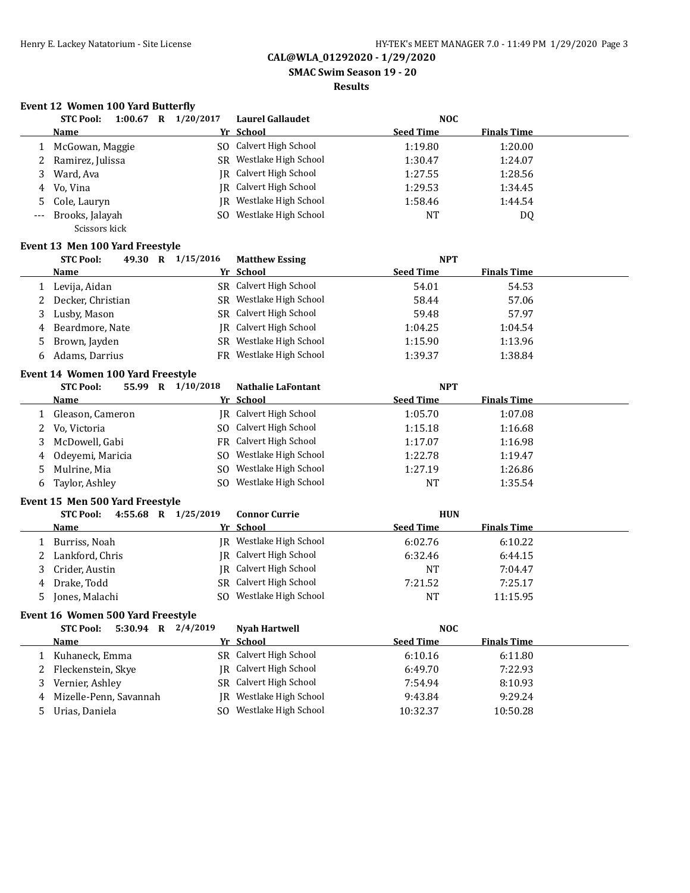**SMAC Swim Season 19 - 20**

#### **Results**

#### **Event 12 Women 100 Yard Butterfly**

|    | 1:00.67<br><b>STC Pool:</b><br>R | 1/20/2017 | Laurel Gallaudet        | <b>NOC</b>       |                    |
|----|----------------------------------|-----------|-------------------------|------------------|--------------------|
|    | <b>Name</b>                      |           | Yr School               | <b>Seed Time</b> | <b>Finals Time</b> |
|    | 1 McGowan, Maggie                |           | SO Calvert High School  | 1:19.80          | 1:20.00            |
|    | Ramirez, Julissa                 |           | SR Westlake High School | 1:30.47          | 1:24.07            |
| 3. | Ward, Ava                        |           | IR Calvert High School  | 1:27.55          | 1:28.56            |
|    | 4 Vo. Vina                       |           | IR Calvert High School  | 1:29.53          | 1:34.45            |
|    | 5 Cole, Lauryn                   |           | IR Westlake High School | 1:58.46          | 1:44.54            |
|    | --- Brooks, Jalayah              |           | SO Westlake High School | <b>NT</b>        | DQ                 |
|    | Scissors kick                    |           |                         |                  |                    |

#### **Event 13 Men 100 Yard Freestyle**

|    | <b>STC Pool:</b><br>49.30<br>$\mathbf R$ | 1/15/2016 | <b>Matthew Essing</b>         | <b>NPT</b>       |                    |  |
|----|------------------------------------------|-----------|-------------------------------|------------------|--------------------|--|
|    | Name                                     |           | Yr School                     | <b>Seed Time</b> | <b>Finals Time</b> |  |
|    | 1 Levija, Aidan                          |           | SR Calvert High School        | 54.01            | 54.53              |  |
|    | 2 Decker, Christian                      |           | SR Westlake High School       | 58.44            | 57.06              |  |
|    | 3 Lusby, Mason                           |           | SR Calvert High School        | 59.48            | 57.97              |  |
|    | 4 Beardmore, Nate                        |           | <b>IR</b> Calvert High School | 1:04.25          | 1:04.54            |  |
|    | 5 Brown, Jayden                          |           | SR Westlake High School       | 1:15.90          | 1:13.96            |  |
| 6. | Adams, Darrius                           |           | FR Westlake High School       | 1:39.37          | 1:38.84            |  |

# **Event 14 Women 100 Yard Freestyle**

| <b>STC Pool:</b><br>55.99<br>$\mathbf R$ | 1/10/2018 | <b>Nathalie LaFontant</b> | <b>NPT</b>       |                    |  |
|------------------------------------------|-----------|---------------------------|------------------|--------------------|--|
| Name                                     |           | Yr School                 | <b>Seed Time</b> | <b>Finals Time</b> |  |
| Gleason, Cameron                         |           | JR Calvert High School    | 1:05.70          | 1:07.08            |  |
| 2 Vo, Victoria                           |           | SO Calvert High School    | 1:15.18          | 1:16.68            |  |
| 3 McDowell, Gabi                         |           | FR Calvert High School    | 1:17.07          | 1:16.98            |  |
| 4 Odeyemi, Maricia                       | SO.       | Westlake High School      | 1:22.78          | 1:19.47            |  |
| 5 Mulrine, Mia                           | SO.       | Westlake High School      | 1:27.19          | 1:26.86            |  |
| 6 Taylor, Ashley                         | SO.       | Westlake High School      | <b>NT</b>        | 1:35.54            |  |

#### **Event 15 Men 500 Yard Freestyle**

|    | 4:55.68<br><b>STC Pool:</b><br>$\bf{R}$ | 1/25/2019<br><b>Connor Currie</b> |                  | <b>HUN</b>         |  |
|----|-----------------------------------------|-----------------------------------|------------------|--------------------|--|
|    | <b>Name</b>                             | Yr School                         | <b>Seed Time</b> | <b>Finals Time</b> |  |
|    | Burriss, Noah                           | IR Westlake High School           | 6:02.76          | 6:10.22            |  |
|    | Lankford, Chris                         | IR Calvert High School            | 6:32.46          | 6:44.15            |  |
| 3. | Crider, Austin                          | IR Calvert High School            | <b>NT</b>        | 7:04.47            |  |
| 4  | Drake, Todd                             | SR Calvert High School            | 7:21.52          | 7:25.17            |  |
| 5  | Jones, Malachi                          | Westlake High School<br>SO.       | NT               | 11:15.95           |  |

#### **Event 16 Women 500 Yard Freestyle**

|    | 5:30.94<br><b>STC Pool:</b><br>$\mathbf R$ | 2/4/2019<br><b>Nyah Hartwell</b> | <b>NOC</b>                             |  |
|----|--------------------------------------------|----------------------------------|----------------------------------------|--|
|    | Name                                       | Yr School                        | <b>Finals Time</b><br><b>Seed Time</b> |  |
|    | Kuhaneck, Emma                             | SR Calvert High School           | 6:11.80<br>6:10.16                     |  |
|    | 2 Fleckenstein, Skye                       | IR Calvert High School           | 7:22.93<br>6:49.70                     |  |
| 3. | Vernier, Ashley                            | SR Calvert High School           | 8:10.93<br>7:54.94                     |  |
|    | 4 Mizelle-Penn, Savannah                   | IR Westlake High School          | 9:29.24<br>9:43.84                     |  |
|    | 5 Urias, Daniela                           | Westlake High School<br>SO.      | 10:32.37<br>10:50.28                   |  |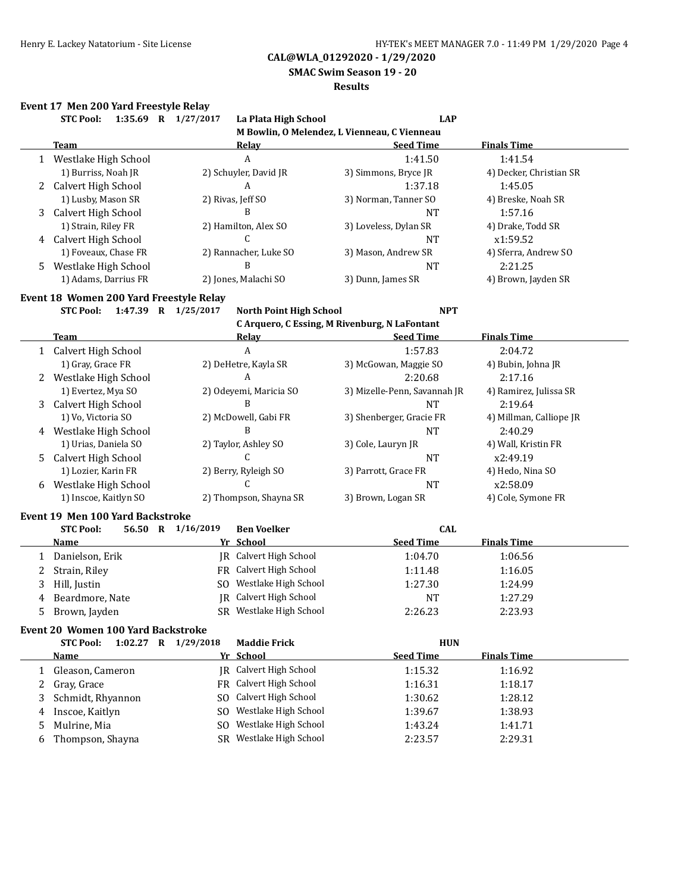**SMAC Swim Season 19 - 20**

#### **Results**

# **Event 17 Men 200 Yard Freestyle Relay**

|              | <b>STC Pool:</b>                        | 1:35.69 R 1/27/2017 | La Plata High School            | <b>LAP</b>                                    |                         |
|--------------|-----------------------------------------|---------------------|---------------------------------|-----------------------------------------------|-------------------------|
|              |                                         |                     |                                 | M Bowlin, O Melendez, L Vienneau, C Vienneau  |                         |
|              | <b>Team</b>                             |                     | <b>Relay</b>                    | <b>Seed Time</b>                              | <b>Finals Time</b>      |
|              | 1 Westlake High School                  |                     | $\boldsymbol{A}$                | 1:41.50                                       | 1:41.54                 |
|              | 1) Burriss, Noah JR                     |                     | 2) Schuyler, David JR           | 3) Simmons, Bryce JR                          | 4) Decker, Christian SR |
|              | 2 Calvert High School                   |                     | A                               | 1:37.18                                       | 1:45.05                 |
|              | 1) Lusby, Mason SR                      |                     | 2) Rivas, Jeff SO               | 3) Norman, Tanner SO                          | 4) Breske, Noah SR      |
| 3            | Calvert High School                     |                     | B                               | <b>NT</b>                                     | 1:57.16                 |
|              | 1) Strain, Riley FR                     |                     | 2) Hamilton, Alex SO            | 3) Loveless, Dylan SR                         | 4) Drake, Todd SR       |
|              | 4 Calvert High School                   |                     | C                               | <b>NT</b>                                     | x1:59.52                |
|              | 1) Foveaux, Chase FR                    |                     | 2) Rannacher, Luke SO           | 3) Mason, Andrew SR                           | 4) Sferra, Andrew SO    |
| 5.           | Westlake High School                    |                     | B                               | <b>NT</b>                                     | 2:21.25                 |
|              | 1) Adams, Darrius FR                    |                     | 2) Jones, Malachi SO            | 3) Dunn, James SR                             | 4) Brown, Jayden SR     |
|              | Event 18 Women 200 Yard Freestyle Relay |                     |                                 |                                               |                         |
|              | <b>STC Pool:</b>                        | 1:47.39 R 1/25/2017 | North Point High School         | <b>NPT</b>                                    |                         |
|              |                                         |                     |                                 | C Arquero, C Essing, M Rivenburg, N LaFontant |                         |
|              | <b>Team</b>                             |                     | Relay                           | <b>Seed Time</b>                              | <b>Finals Time</b>      |
|              | 1 Calvert High School                   |                     | A                               | 1:57.83                                       | 2:04.72                 |
|              | 1) Gray, Grace FR                       |                     | 2) DeHetre, Kayla SR            | 3) McGowan, Maggie SO                         | 4) Bubin, Johna JR      |
|              | 2 Westlake High School                  |                     | A                               | 2:20.68                                       | 2:17.16                 |
|              | 1) Evertez, Mya SO                      |                     | 2) Odeyemi, Maricia SO          | 3) Mizelle-Penn, Savannah JR                  | 4) Ramirez, Julissa SR  |
| 3            | Calvert High School                     |                     | B                               | <b>NT</b>                                     | 2:19.64                 |
|              | 1) Vo, Victoria SO                      |                     | 2) McDowell, Gabi FR            | 3) Shenberger, Gracie FR                      | 4) Millman, Calliope JR |
|              | 4 Westlake High School                  |                     | B                               | <b>NT</b>                                     | 2:40.29                 |
|              | 1) Urias, Daniela SO                    |                     | 2) Taylor, Ashley SO            | 3) Cole, Lauryn JR                            | 4) Wall, Kristin FR     |
| 5.           | Calvert High School                     |                     | C                               | <b>NT</b>                                     | x2:49.19                |
|              | 1) Lozier, Karin FR                     |                     | 2) Berry, Ryleigh SO            | 3) Parrott, Grace FR                          | 4) Hedo, Nina SO        |
|              | 6 Westlake High School                  |                     | C                               | <b>NT</b>                                     | x2:58.09                |
|              | 1) Inscoe, Kaitlyn SO                   |                     | 2) Thompson, Shayna SR          | 3) Brown, Logan SR                            | 4) Cole, Symone FR      |
|              |                                         |                     |                                 |                                               |                         |
|              | Event 19 Men 100 Yard Backstroke        | 56.50 R 1/16/2019   |                                 | <b>CAL</b>                                    |                         |
|              | <b>STC Pool:</b><br><b>Name</b>         |                     | <b>Ben Voelker</b><br>Yr School | <b>Seed Time</b>                              | <b>Finals Time</b>      |
| 1            | Danielson, Erik                         |                     | JR Calvert High School          | 1:04.70                                       | 1:06.56                 |
| 2            | Strain, Riley                           |                     | FR Calvert High School          | 1:11.48                                       | 1:16.05                 |
| 3            | Hill, Justin                            |                     | SO Westlake High School         | 1:27.30                                       | 1:24.99                 |
| 4            | Beardmore, Nate                         |                     | JR Calvert High School          | <b>NT</b>                                     | 1:27.29                 |
|              | Brown, Jayden                           |                     | SR Westlake High School         |                                               |                         |
|              |                                         |                     |                                 | 2:26.23                                       | 2:23.93                 |
|              | Event 20 Women 100 Yard Backstroke      |                     |                                 |                                               |                         |
|              | <b>STC Pool:</b>                        | 1:02.27 R 1/29/2018 | <b>Maddie Frick</b>             | <b>HUN</b>                                    |                         |
|              | <b>Name</b>                             |                     | Yr School                       | <b>Seed Time</b>                              | <b>Finals Time</b>      |
| $\mathbf{1}$ | Gleason, Cameron                        |                     | <b>IR</b> Calvert High School   | 1:15.32                                       | 1:16.92                 |
| 2            | Gray, Grace                             |                     | FR Calvert High School          | 1:16.31                                       | 1:18.17                 |
| 3            | Schmidt, Rhyannon                       |                     | SO Calvert High School          | 1:30.62                                       | 1:28.12                 |
| 4            | Inscoe, Kaitlyn                         |                     | SO Westlake High School         | 1:39.67                                       | 1:38.93                 |

5 Mulrine, Mia 1:41.71 SO Westlake High School 1:43.24 1:41.71 6 Thompson, Shayna SR Westlake High School 2:23.57 2:29.31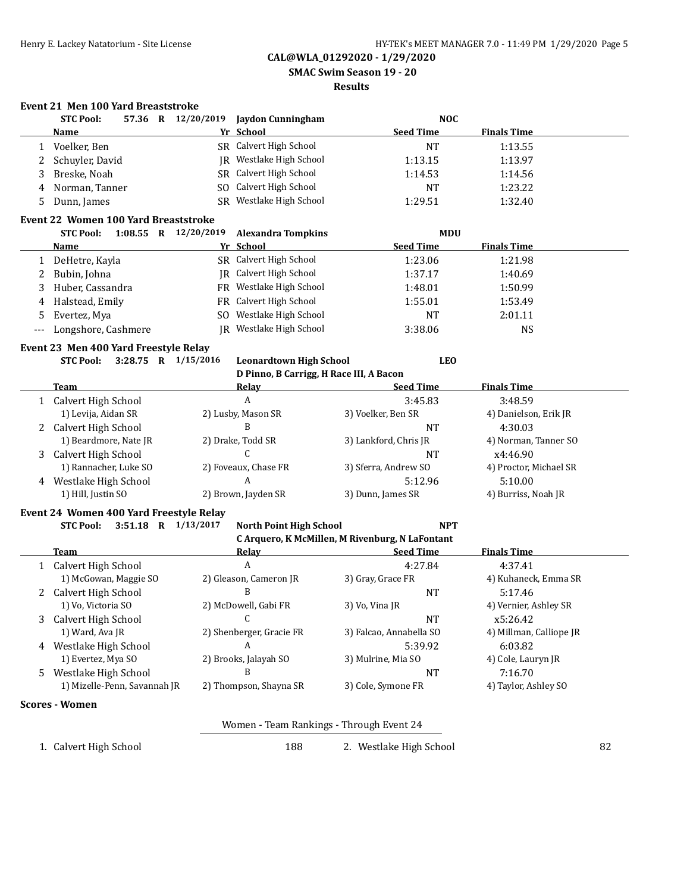**SMAC Swim Season 19 - 20**

#### **Results**

### **Event 21 Men 100 Yard Breaststroke**

|   | <b>STC Pool:</b>                                                                 |     | 57.36 R 12/20/2019 Jaydon Cunningham     | <b>NOC</b>                                      |                         |    |
|---|----------------------------------------------------------------------------------|-----|------------------------------------------|-------------------------------------------------|-------------------------|----|
|   | <u>Name</u>                                                                      |     | Yr School                                | <b>Seed Time</b>                                | <b>Finals Time</b>      |    |
| 1 | Voelker, Ben                                                                     |     | SR Calvert High School                   | <b>NT</b>                                       | 1:13.55                 |    |
| 2 | Schuyler, David                                                                  |     | JR Westlake High School                  | 1:13.15                                         | 1:13.97                 |    |
| 3 | Breske, Noah                                                                     |     | SR Calvert High School                   | 1:14.53                                         | 1:14.56                 |    |
| 4 | Norman, Tanner                                                                   |     | SO Calvert High School                   | <b>NT</b>                                       | 1:23.22                 |    |
| 5 | Dunn, James                                                                      |     | SR Westlake High School                  | 1:29.51                                         | 1:32.40                 |    |
|   | <b>Event 22 Women 100 Yard Breaststroke</b>                                      |     |                                          |                                                 |                         |    |
|   | <b>STC Pool:</b><br>1:08.55 R $12/20/2019$                                       |     | <b>Alexandra Tompkins</b>                | MDU                                             |                         |    |
|   | Name                                                                             |     | Yr School                                | <b>Seed Time</b>                                | <b>Finals Time</b>      |    |
|   | 1 DeHetre, Kayla                                                                 |     | SR Calvert High School                   | 1:23.06                                         | 1:21.98                 |    |
| 2 | Bubin, Johna                                                                     |     | JR Calvert High School                   | 1:37.17                                         | 1:40.69                 |    |
| 3 | Huber, Cassandra                                                                 |     | FR Westlake High School                  | 1:48.01                                         | 1:50.99                 |    |
| 4 | Halstead, Emily                                                                  |     | FR Calvert High School                   | 1:55.01                                         | 1:53.49                 |    |
| 5 | Evertez, Mya                                                                     | SO. | Westlake High School                     | <b>NT</b>                                       | 2:01.11                 |    |
|   | Longshore, Cashmere                                                              |     | JR Westlake High School                  | 3:38.06                                         | <b>NS</b>               |    |
|   |                                                                                  |     |                                          |                                                 |                         |    |
|   | Event 23 Men 400 Yard Freestyle Relay<br><b>STC Pool:</b><br>3:28.75 R 1/15/2016 |     | <b>Leonardtown High School</b>           | <b>LEO</b>                                      |                         |    |
|   |                                                                                  |     | D Pinno, B Carrigg, H Race III, A Bacon  |                                                 |                         |    |
|   | Team                                                                             |     | Relay                                    | <b>Seed Time</b>                                | <b>Finals Time</b>      |    |
|   | 1 Calvert High School                                                            |     | A                                        | 3:45.83                                         | 3:48.59                 |    |
|   | 1) Levija, Aidan SR                                                              |     | 2) Lusby, Mason SR                       | 3) Voelker, Ben SR                              | 4) Danielson, Erik JR   |    |
| 2 | Calvert High School                                                              |     | B                                        | <b>NT</b>                                       | 4:30.03                 |    |
|   | 1) Beardmore, Nate JR                                                            |     | 2) Drake, Todd SR                        | 3) Lankford, Chris JR                           | 4) Norman, Tanner SO    |    |
| 3 | Calvert High School                                                              |     | C                                        | <b>NT</b>                                       | x4:46.90                |    |
|   | 1) Rannacher, Luke SO                                                            |     | 2) Foveaux, Chase FR                     | 3) Sferra, Andrew SO                            | 4) Proctor, Michael SR  |    |
|   | 4 Westlake High School                                                           |     | A                                        | 5:12.96                                         | 5:10.00                 |    |
|   | 1) Hill, Justin SO                                                               |     | 2) Brown, Jayden SR                      | 3) Dunn, James SR                               | 4) Burriss, Noah JR     |    |
|   | Event 24 Women 400 Yard Freestyle Relay                                          |     |                                          |                                                 |                         |    |
|   | <b>STC Pool:</b><br>3:51.18 R 1/13/2017                                          |     | <b>North Point High School</b>           | <b>NPT</b>                                      |                         |    |
|   |                                                                                  |     |                                          | C Arquero, K McMillen, M Rivenburg, N LaFontant |                         |    |
|   | Team                                                                             |     | Relay                                    | <b>Seed Time</b>                                | <b>Finals Time</b>      |    |
|   | 1 Calvert High School                                                            |     | A                                        | 4:27.84                                         | 4:37.41                 |    |
|   | 1) McGowan, Maggie SO                                                            |     | 2) Gleason, Cameron JR                   | 3) Gray, Grace FR                               | 4) Kuhaneck, Emma SR    |    |
| 2 | Calvert High School                                                              |     | B                                        | <b>NT</b>                                       | 5:17.46                 |    |
|   | 1) Vo, Victoria SO                                                               |     | 2) McDowell, Gabi FR                     | 3) Vo, Vina JR                                  | 4) Vernier, Ashley SR   |    |
| 3 | Calvert High School                                                              |     |                                          | <b>NT</b>                                       | x5:26.42                |    |
|   | 1) Ward, Ava JR                                                                  |     | 2) Shenberger, Gracie FR                 | 3) Falcao, Annabella SO                         | 4) Millman, Calliope JR |    |
|   | 4 Westlake High School                                                           |     | A                                        | 5:39.92                                         | 6:03.82                 |    |
|   | 1) Evertez, Mya SO                                                               |     | 2) Brooks, Jalayah SO                    | 3) Mulrine, Mia SO                              | 4) Cole, Lauryn JR      |    |
|   | 5 Westlake High School                                                           |     | B                                        | NT                                              | 7:16.70                 |    |
|   | 1) Mizelle-Penn, Savannah JR                                                     |     | 2) Thompson, Shayna SR                   | 3) Cole, Symone FR                              | 4) Taylor, Ashley SO    |    |
|   | <b>Scores - Women</b>                                                            |     |                                          |                                                 |                         |    |
|   |                                                                                  |     | Women - Team Rankings - Through Event 24 |                                                 |                         |    |
|   | 1. Calvert High School                                                           |     | 188                                      | 2. Westlake High School                         |                         | 82 |
|   |                                                                                  |     |                                          |                                                 |                         |    |